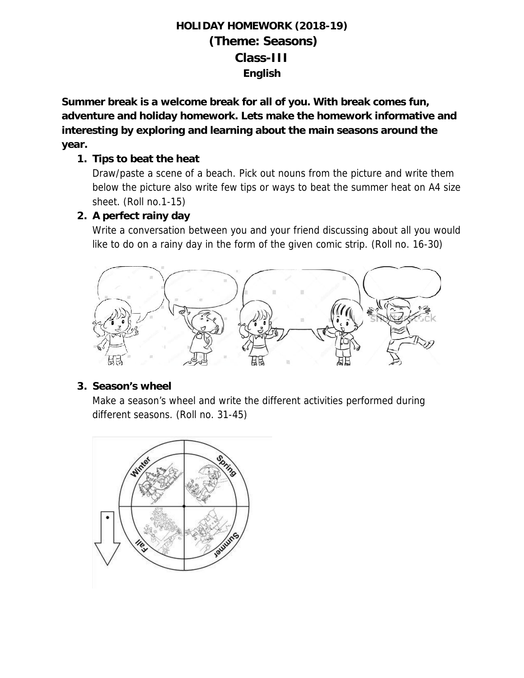## **HOLIDAY HOMEWORK (2018-19) (Theme: Seasons) Class-III English**

**Summer break is a welcome break for all of you. With break comes fun, adventure and holiday homework. Lets make the homework informative and interesting by exploring and learning about the main seasons around the year.**

**1. Tips to beat the heat**

Draw/paste a scene of a beach. Pick out nouns from the picture and write them below the picture also write few tips or ways to beat the summer heat on A4 size sheet. (Roll no.1-15)

**2. A perfect rainy day**

Write a conversation between you and your friend discussing about all you would like to do on a rainy day in the form of the given comic strip. (Roll no. 16-30)



**3. Season's wheel**

Make a season's wheel and write the different activities performed during different seasons. (Roll no. 31-45)

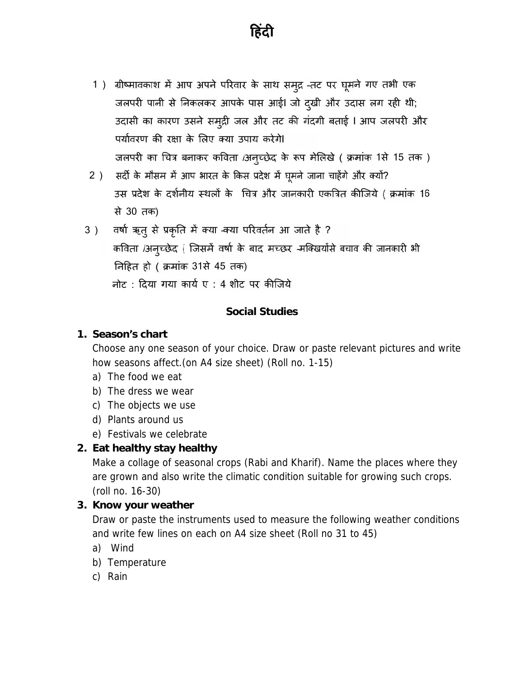

- 1) ग्रीष्मावकाश में आप अपने परिवार के साथ समुद्र -तट पर घूमने गए तभी एक जलपरी पानी से निकलकर आपके पास आई। जो दुखी और उदास लग रही थी; उदासी का कारण उसने समुद्री जल और तट की गंदगी बताई । आप जलपरी और पर्यावरण की रक्षा के लिए क्या उपाय करेगे। जलपरी का चित्र बनाकर कविता /अनुच्छेद के रूप मेलिखे ( क्रमांक 1से 15 तक)
- 2) सर्दी के मौसम में आप भारत के किस प्रदेश में घूमने जाना चाहेंगे और क्यों? उस प्रदेश के दर्शनीय स्थलों के चित्र और जानकारी एकत्रित कीजिये ( क्रमांक 16 से 30 तक)
- 3) वर्षा ऋत् से प्रकृति में क्या -क्या परिवर्तन आ जाते है ? कविता /अनुच्छेद (जिसमें वर्षा के बाद मच्छर -मक्खियोंसे बचाव की जानकारी भी निहित हो ( क्रमांक 31से 45 तक) नोट: दिया गया कार्य ए: 4 शीट पर कीजिये

#### **Social Studies**

**1. Season's chart**

Choose any one season of your choice. Draw or paste relevant pictures and write how seasons affect.(on A4 size sheet) (Roll no. 1-15)

- a) The food we eat
- b) The dress we wear
- c) The objects we use
- d) Plants around us
- e) Festivals we celebrate
- **2. Eat healthy stay healthy**

Make a collage of seasonal crops (Rabi and Kharif). Name the places where they are grown and also write the climatic condition suitable for growing such crops. (roll no. 16-30)

**3. Know your weather**

Draw or paste the instruments used to measure the following weather conditions and write few lines on each on A4 size sheet (Roll no 31 to 45)

- a) Wind
- b) Temperature
- c) Rain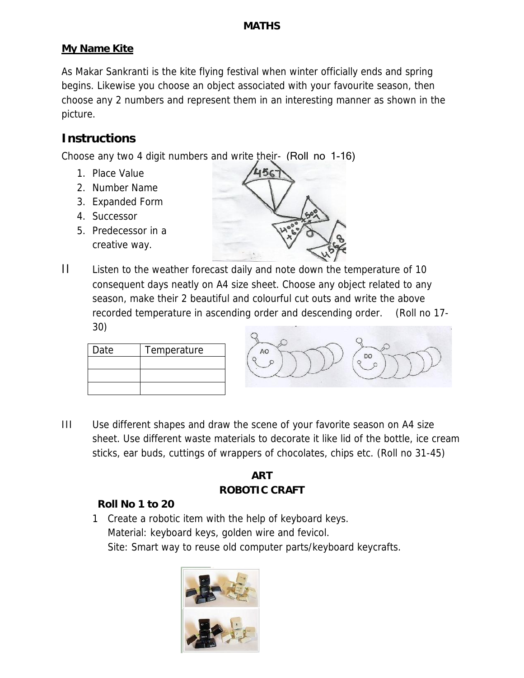#### **My Name Kite**

As Makar Sankranti is the kite flying festival when winter officially ends and spring begins. Likewise you choose an object associated with your favourite season, then choose any 2 numbers and represent them in an interesting manner as shown in the picture.

### **Instructions**

Choose any two 4 digit numbers and write their- (Roll no 1-16)

- 1. Place Value
- 2. Number Name
- 3. Expanded Form
- 4. Successor
- 5. Predecessor in a creative way.



II Listen to the weather forecast daily and note down the temperature of 10 consequent days neatly on A4 size sheet. Choose any object related to any season, make their 2 beautiful and colourful cut outs and write the above recorded temperature in ascending order and descending order. (Roll no 17- 30)

| Date | Temperature |  |
|------|-------------|--|
|      |             |  |
|      |             |  |
|      |             |  |



III Use different shapes and draw the scene of your favorite season on A4 size sheet. Use different waste materials to decorate it like lid of the bottle, ice cream sticks, ear buds, cuttings of wrappers of chocolates, chips etc. (Roll no 31-45)

## **ART**

#### **ROBOTIC CRAFT**

#### **Roll No 1 to 20**

1 Create a robotic item with the help of keyboard keys. Material: keyboard keys, golden wire and fevicol. Site: Smart way to reuse old computer parts/keyboard keycrafts.

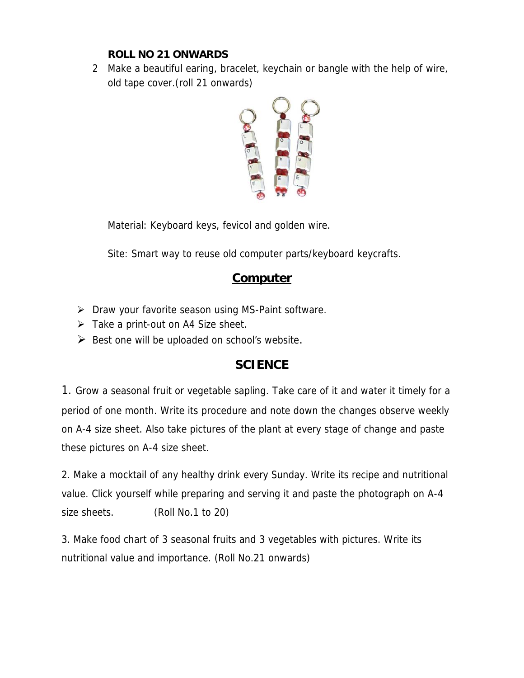**ROLL NO 21 ONWARDS**

2 Make a beautiful earing, bracelet, keychain or bangle with the help of wire, old tape cover.(roll 21 onwards)



Material: Keyboard keys, fevicol and golden wire.

Site: Smart way to reuse old computer parts/keyboard keycrafts.

## **Computer**

- $\triangleright$  Draw your favorite season using MS-Paint software.
- $\triangleright$  Take a print-out on A4 Size sheet.
- $\triangleright$  Best one will be uploaded on school's website.

## **SCIENCE**

1. Grow a seasonal fruit or vegetable sapling. Take care of it and water it timely for a period of one month. Write its procedure and note down the changes observe weekly on A-4 size sheet. Also take pictures of the plant at every stage of change and paste these pictures on A-4 size sheet.

2. Make a mocktail of any healthy drink every Sunday. Write its recipe and nutritional value. Click yourself while preparing and serving it and paste the photograph on A-4 size sheets. (Roll No.1 to 20)

3. Make food chart of 3 seasonal fruits and 3 vegetables with pictures. Write its nutritional value and importance. (Roll No.21 onwards)